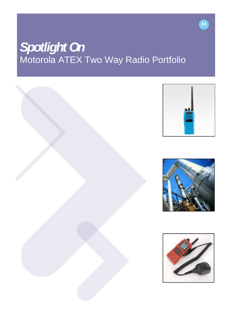# *Spotlight On*  Motorola ATEX Two Way Radio Portfolio









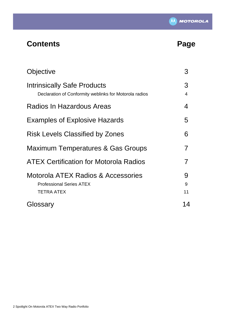

# **Contents Page**

| Objective                                                                                    | 3                   |
|----------------------------------------------------------------------------------------------|---------------------|
| <b>Intrinsically Safe Products</b><br>Declaration of Conformity weblinks for Motorola radios | 3<br>$\overline{4}$ |
| Radios In Hazardous Areas                                                                    | 4                   |
| <b>Examples of Explosive Hazards</b>                                                         | 5                   |
| <b>Risk Levels Classified by Zones</b>                                                       | 6                   |
| <b>Maximum Temperatures &amp; Gas Groups</b>                                                 |                     |
| <b>ATEX Certification for Motorola Radios</b>                                                | 7                   |
| Motorola ATEX Radios & Accessories<br><b>Professional Series ATEX</b><br><b>TETRA ATEX</b>   | 9<br>9<br>11        |
| Glossary                                                                                     | 14                  |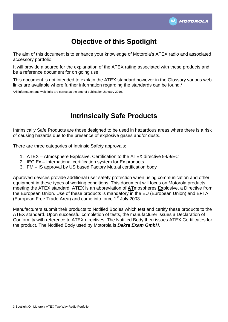

# **Objective of this Spotlight**

The aim of this document is to enhance your knowledge of Motorola's ATEX radio and associated accessory portfolio.

It will provide a source for the explanation of the ATEX rating associated with these products and be a reference document for on going use.

This document is not intended to explain the ATEX standard however in the Glossary various web links are available where further information regarding the standards can be found.<sup>\*</sup>

\*All information and web links are correct at the time of publication January 2010.

# **Intrinsically Safe Products**

Intrinsically Safe Products are those designed to be used in hazardous areas where there is a risk of causing hazards due to the presence of explosive gases and/or dusts.

There are three categories of Intrinsic Safety approvals:

- 1. ATEX Atmosphere Explosive. Certification to the ATEX directive 94/9/EC
- 2. IEC Ex International certification system for Ex products
- 3. FM IS approval by US based Factory Mutual certification body

Approved devices provide additional user safety protection when using communication and other equipment in these types of working conditions. This document will focus on Motorola products meeting the ATEX standard. ATEX is an abbreviation of **AT**mospheres **Ex**plosive, a Directive from the European Union. Use of these products is mandatory in the EU (European Union) and EFTA (European Free Trade Area) and came into force 1<sup>st</sup> July 2003.

Manufacturers submit their products to Notified Bodies which test and certify these products to the ATEX standard. Upon successful completion of tests, the manufacturer issues a Declaration of Conformity with reference to ATEX directives. The Notified Body then issues ATEX Certificates for the product. The Notified Body used by Motorola is *Dekra Exam GmbH.*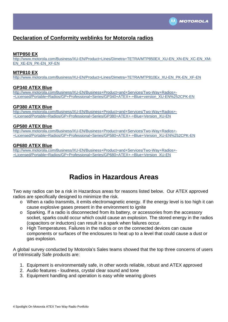

### **Declaration of Conformity weblinks for Motorola radios**

**MTP850 EX**<br>http://www.motorola.com/Business/XU-EN/Product+Lines/Dimetra+TETRA/MTP850EX\_XU-EN\_XN-EN\_XC-EN\_XM-[EN\\_XE-EN\\_PK-EN\\_XF-EN](http://www.motorola.com/Business/XU-EN/Product+Lines/Dimetra+TETRA/MTP850EX_XU-EN_XN-EN_XC-EN_XM-EN_XE-EN_PK-EN_XF-EN)

#### **MTP810 EX**

http://www.motorola.com/Business/XU-EN/Product+Lines/Dimetra+TETRA/MTP810Ex\_XU-EN\_PK-EN\_XF-EN

#### **GP340 ATEX Blue**

[http://www.motorola.com/Business/XU-EN/Business+Product+and+Services/Two-Way+Radios+-](http://www.motorola.com/Business/XU-EN/Business+Product+and+Services/Two-Way+Radios+-+Licensed/Portable+Radios/GP+Professional+Series/GP340+ATEX+-+Blue+version_XU-EN%252CPK-EN) [+Licensed/Portable+Radios/GP+Professional+Series/GP340+ATEX+-+Blue+version\\_XU-EN%252CPK-EN](http://www.motorola.com/Business/XU-EN/Business+Product+and+Services/Two-Way+Radios+-+Licensed/Portable+Radios/GP+Professional+Series/GP340+ATEX+-+Blue+version_XU-EN%252CPK-EN)

#### **GP380 ATEX Blue**

[http://www.motorola.com/Business/XU-EN/Business+Product+and+Services/Two-Way+Radios+-](http://www.motorola.com/Business/XU-EN/Business+Product+and+Services/Two-Way+Radios+-+Licensed/Portable+Radios/GP+Professional+Series/GP380+ATEX+-+Blue+Version_XU-EN) [+Licensed/Portable+Radios/GP+Professional+Series/GP380+ATEX+-+Blue+Version\\_XU-EN](http://www.motorola.com/Business/XU-EN/Business+Product+and+Services/Two-Way+Radios+-+Licensed/Portable+Radios/GP+Professional+Series/GP380+ATEX+-+Blue+Version_XU-EN)

#### **GP580 ATEX Blue**

[http://www.motorola.com/Business/XU-EN/Business+Product+and+Services/Two-Way+Radios+-](http://www.motorola.com/Business/XU-EN/Business+Product+and+Services/Two-Way+Radios+-+Licensed/Portable+Radios/GP+Professional+Series/GP580+ATEX+-+Blue+Version_XU-EN%252CPK-EN) [+Licensed/Portable+Radios/GP+Professional+Series/GP580+ATEX+-+Blue+Version\\_XU-EN%252CPK-EN](http://www.motorola.com/Business/XU-EN/Business+Product+and+Services/Two-Way+Radios+-+Licensed/Portable+Radios/GP+Professional+Series/GP580+ATEX+-+Blue+Version_XU-EN%252CPK-EN)

#### **GP680 ATEX Blue**

[http://www.motorola.com/Business/XU-EN/Business+Product+and+Services/Two-Way+Radios+-](http://www.motorola.com/Business/XU-EN/Business+Product+and+Services/Two-Way+Radios+-+Licensed/Portable+Radios/GP+Professional+Series/GP680+ATEX+-+Blue+Version_XU-EN) [+Licensed/Portable+Radios/GP+Professional+Series/GP680+ATEX+-+Blue+Version\\_XU-EN](http://www.motorola.com/Business/XU-EN/Business+Product+and+Services/Two-Way+Radios+-+Licensed/Portable+Radios/GP+Professional+Series/GP680+ATEX+-+Blue+Version_XU-EN)

## **Radios in Hazardous Areas**

Two way radios can be a risk in Hazardous areas for reasons listed below. Our ATEX approved radios are specifically designed to minimize the risk.

- o When a radio transmits, it emits electromagnetic energy. If the energy level is too high it can cause explosive gases present in the environment to ignite
- o Sparking. If a radio is disconnected from its battery, or accessories from the accessory socket, sparks could occur which could cause an explosion. The stored energy in the radios (capacitors or inductors) can result in a spark when failures occur.
- o High Temperatures. Failures in the radios or on the connected devices can cause components or surfaces of the enclosures to heat up to a level that could cause a dust or gas explosion.

A global survey conducted by Motorola's Sales teams showed that the top three concerns of users of Intrinsically Safe products are:

- 1. Equipment is environmentally safe, in other words reliable, robust and ATEX approved
- 2. Audio features loudness, crystal clear sound and tone
- 3. Equipment handling and operation is easy while wearing gloves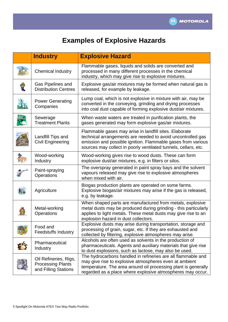

# **Examples of Explosive Hazards**

| <b>Industry</b>                                                           | <b>Explosive Hazard</b>                                                                                                                                                                                                                                  |
|---------------------------------------------------------------------------|----------------------------------------------------------------------------------------------------------------------------------------------------------------------------------------------------------------------------------------------------------|
| <b>Chemical Industry</b>                                                  | Flammable gases, liquids and solids are converted and<br>processed in many different processes in the chemical<br>industry, which may give rise to explosive mixtures.                                                                                   |
| Gas Pipelines and<br><b>Distribution Centres</b>                          | Explosive gas/air mixtures may be formed when natural gas is<br>released, for example by leakage.                                                                                                                                                        |
| <b>Power Generating</b><br>Companies                                      | Lump coal, which is not explosive in mixture with air, may be<br>converted in the conveying, grinding and drying processes<br>into coal dust capable of forming explosive dust/air mixtures.                                                             |
| Sewerage<br><b>Treatment Plants</b>                                       | When waste waters are treated in purification plants, the<br>gases generated may form explosive gas/air mixtures.                                                                                                                                        |
| Landfill Tips and<br><b>Civil Engineering</b>                             | Flammable gases may arise in landfill sites. Elaborate<br>technical arrangements are needed to avoid uncontrolled gas<br>emission and possible ignition. Flammable gases from various<br>sources may collect in poorly ventilated tunnels, cellars, etc. |
| Wood-working<br>Industry                                                  | Wood-working gives rise to wood dusts. These can form<br>explosive dust/air mixtures, e.g. in filters or silos.                                                                                                                                          |
| Paint-spraying<br>Operations                                              | The overspray generated in paint spray bays and the solvent<br>vapours released may give rise to explosive atmospheres<br>when mixed with air.                                                                                                           |
| Agriculture                                                               | Biogas production plants are operated on some farms.<br>Explosive biogas/air mixtures may arise if the gas is released,<br>e.g. by leakage.                                                                                                              |
| Metal-working<br>Operations                                               | When shaped parts are manufactured from metals, explosive<br>metal dusts may be produced during grinding - this particularly<br>applies to light metals. These metal dusts may give rise to an<br>explosion hazard in dust collectors.                   |
| Food and<br><b>Feedstuffs Industry</b>                                    | Explosive dusts may arise during transportation, storage and<br>processing of grain, sugar, etc. If they are exhausted and<br>collected by filtering, explosive atmospheres may arise.                                                                   |
| Pharmaceutical<br><b>Industry</b>                                         | Alcohols are often used as solvents in the production of<br>pharmaceuticals. Agents and auxiliary materials that give rise<br>to dust explosions, such as lactose, may also be used.                                                                     |
| Oil Refineries, Rigs,<br><b>Processing Plants</b><br>and Filling Stations | The hydrocarbons handled in refineries are all flammable and<br>may give rise to explosive atmospheres even at ambient<br>temperature. The area around oil processing plant is generally<br>regarded as a place where explosive atmospheres may occur.   |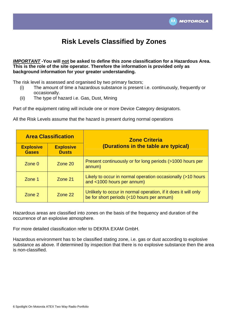

# **Risk Levels Classified by Zones**

#### *IMPORTANT* **-You will not be asked to define this zone classification for a Hazardous Area. This is the role of the site operator. Therefore the information is provided only as background information for your greater understanding.**

The risk level is assessed and organised by two primary factors;

- (i) The amount of time a hazardous substance is present i.e. continuously, frequently or occasionally.
- (ii) The type of hazard i.e. Gas, Dust, Mining

Part of the equipment rating will include one or more Device Category designators.

All the Risk Levels assume that the hazard is present during normal operations

| <b>Area Classification</b>       |                                  | <b>Zone Criteria</b>                                                                                         |  |
|----------------------------------|----------------------------------|--------------------------------------------------------------------------------------------------------------|--|
| <b>Explosive</b><br><b>Gases</b> | <b>Explosive</b><br><b>Dusts</b> | (Durations in the table are typical)                                                                         |  |
| Zone $0$                         | Zone 20                          | Present continuously or for long periods (>1000 hours per<br>annum)                                          |  |
| Zone 1                           | Zone 21                          | Likely to occur in normal operation occasionally (>10 hours<br>and <1000 hours per annum)                    |  |
| Zone 2                           | Zone 22                          | Unlikely to occur in normal operation, if it does it will only<br>be for short periods (<10 hours per annum) |  |

Hazardous areas are classified into zones on the basis of the frequency and duration of the occurrence of an explosive atmosphere.

For more detailed classification refer to DEKRA EXAM GmbH.

Hazardous environment has to be classified stating zone, i.e. gas or dust according to explosive substance as above. If determined by inspection that there is no explosive substance then the area is non-classified.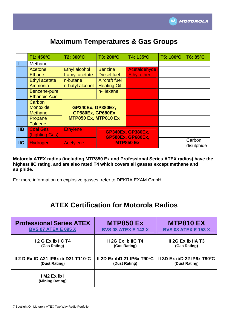

|                           | T1: 450°C            | T2: 300°C                                    | T3: 200°C                   | T4: 135°C                | T5: 100°C | T6: 85°C             |
|---------------------------|----------------------|----------------------------------------------|-----------------------------|--------------------------|-----------|----------------------|
|                           | Methane              |                                              |                             |                          |           |                      |
|                           | Acetone              | Ethyl alcohol                                | <b>Benzine</b>              | Acetaldehyde             |           |                      |
|                           | <b>Ethane</b>        | I-amyl acetate                               | <b>Diesel fuel</b>          | <b>Ethyl ether</b>       |           |                      |
|                           | <b>Ethyl acetate</b> | n-butane                                     | <b>Aircraft fuel</b>        |                          |           |                      |
|                           | Ammonia              | n-butyl alcohol                              | <b>Heating Oil</b>          |                          |           |                      |
|                           | Benzene-pure         |                                              | n-Hexane                    |                          |           |                      |
|                           | <b>Ethanoic Acid</b> |                                              |                             |                          |           |                      |
|                           | Carbon               |                                              |                             |                          |           |                      |
|                           | <b>Monoxide</b>      | <b>GP340Ex, GP380Ex,</b><br>GP580Ex, GP680Ex |                             |                          |           |                      |
|                           | <b>Methanol</b>      |                                              |                             |                          |           |                      |
|                           | Propane              |                                              | <b>MTP850 Ex, MTP810 Ex</b> |                          |           |                      |
|                           | <b>Toluene</b>       |                                              |                             |                          |           |                      |
| IIB                       | <b>Coal Gas</b>      | <b>Ethylene</b>                              |                             | <b>GP340Ex, GP380Ex,</b> |           |                      |
|                           | (Lighting Gas)       |                                              |                             | <b>GP580Ex, GP680Ex,</b> |           |                      |
| $\overline{\mathsf{IIC}}$ | <b>Hydrogen</b>      | <b>Acetylene</b>                             |                             | <b>MTP850 Ex</b>         |           | Carbon<br>disulphide |

# **Maximum Temperatures & Gas Groups**

**Motorola ATEX radios (including MTP850 Ex and Professional Series ATEX radios) have the highest IIC rating, and are also rated T4 which covers all gasses except methane and sulphide.** 

For more information on explosive gasses, refer to DEKRA EXAM GmbH.

## **ATEX Certification for Motorola Radios**

| <b>Professional Series ATEX</b>                | <b>MTP850 Ex</b>                     | <b>MTP810 EX</b>           |
|------------------------------------------------|--------------------------------------|----------------------------|
| <b>BVS 07 ATEX E 095 X</b>                     | <b>BVS 08 ATEX E 143 X</b>           | <b>BVS 08 ATEX E 153 X</b> |
| 12 G Ex ib IIC T4                              | II 2G Ex ib IIC T4                   | II 2G Ex ib IIA T3         |
| (Gas Rating)                                   | (Gas Rating)                         | (Gas Rating)               |
| II 2 D Ex tD A21 IP6x ib D21 T110 $^{\circ}$ C | II 2D Ex ibD 21 IP6x $T90^{\circ}$ C | II 3D Ex ibD 22 IP6x T90°C |
| (Dust Rating)                                  | (Dust Rating)                        | (Dust Rating)              |
| IM <sub>2</sub> Ex ib I<br>(Mining Rating)     |                                      |                            |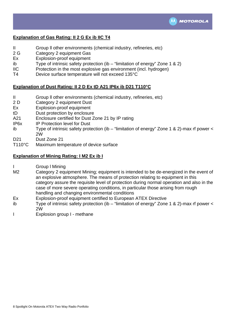

#### **Explanation of Gas Rating: II 2 G Ex ib IIC T4**

- II Group ll other environments (chemical industry, refineries, etc)
- 2 G Category 2 equipment Gas
- Ex Explosion-proof equipment
- ib Type of intrinsic safety protection (ib "limitation of energy" Zone 1 & 2)
- IIC Protection in the most explosive gas environment (incl. hydrogen)
- T4 Device surface temperature will not exceed 135°C

#### **Explanation of Dust Rating: II 2 D Ex tD A21 IP6x ib D21 T110°C**

- II Group ll other environments (chemical industry, refineries, etc)
- 2 D Category 2 equipment Dust
- Ex Explosion-proof equipment
- tD Dust protection by enclosure
- A21 Enclosure certified for Dust Zone 21 by IP rating
- IP6x IP Protection level for Dust
- ib Type of intrinsic safety protection (ib "limitation of energy" Zone 1 & 2)-max rf power < 2W
- D<sub>21</sub> Dust Zone 21
- T110°C Maximum temperature of device surface

#### **Explanation of Mining Rating: I M2 Ex ib I**

- I Group l Mining
- M2 Category 2 equipment Mining; equipment is intended to be de-energized in the event of an explosive atmosphere. The means of protection relating to equipment in this category assure the requisite level of protection during normal operation and also in the case of more severe operating conditions, in particular those arising from rough handling and changing environmental conditions
- Ex Explosion-proof equipment certified to European ATEX Directive
- ib Type of intrinsic safety protection (ib "limitation of energy" Zone 1 & 2)-max rf power < 2W
- I Explosion group I methane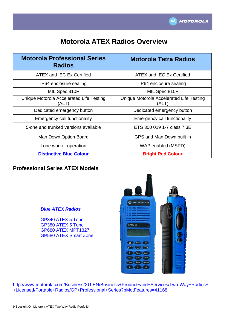

# **Motorola ATEX Radios Overview**

| <b>Motorola Professional Series</b><br><b>Radios</b> | <b>Motorola Tetra Radios</b>                     |
|------------------------------------------------------|--------------------------------------------------|
| ATEX and IEC Ex Certified                            | ATEX and IEC Ex Certified                        |
| IP64 enclosure sealing                               | IP64 enclosure sealing                           |
| MIL Spec 810F                                        | MIL Spec 810F                                    |
| Unique Motorola Accelerated Life Testing<br>(ALT)    | Unique Motorola Accelerated Life Testing<br>(ALT |
| Dedicated emergency button                           | Dedicated emergency button                       |
| <b>Emergency call functionality</b>                  | <b>Emergency call functionality</b>              |
| 5-one and trunked versions available                 | ETS 300 019 1-7 class 7.3E                       |
| Man Down Option Board                                | GPS and Man Down built in                        |
| Lone worker operation                                | WAP enabled (MSPD)                               |
| <b>Distinctive Blue Colour</b>                       | <b>Bright Red Colour</b>                         |

#### **Professional Series ATEX Models**

#### *Blue ATEX Radios*

GP340 ATEX 5 Tone GP380 ATEX 5 Tone GP680 ATEX MPT1327 GP580 ATEX Smart Zone



[http://www.motorola.com/Business/XU-EN/Business+Product+and+Services/Two-Way+Radios+-](http://www.motorola.com/Business/XU-EN/Business+Product+and+Services/Two-Way+Radios+-+Licensed/Portable+Radios/GP+Professional+Series?pMotFeatures=41168) [+Licensed/Portable+Radios/GP+Professional+Series?pMotFeatures=41168](http://www.motorola.com/Business/XU-EN/Business+Product+and+Services/Two-Way+Radios+-+Licensed/Portable+Radios/GP+Professional+Series?pMotFeatures=41168)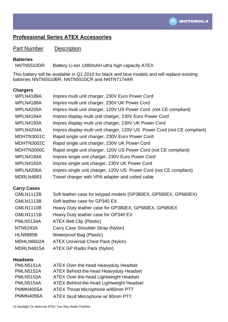

### **Professional Series ATEX Accessories**

Part Number Description

#### **Batteries**

NNTN5510DR Battery Li-Ion 1480mAH ultra high capacity ATEX

This battery will be available in Q1 2010 for black and blue models and will replace existing batteries NNTN5510BR, NNTN5510CR and NNTN7174AR

#### **Chargers**

| WPLN4189A        | Impres multi unit charger, 230V Euro Power Cord                          |
|------------------|--------------------------------------------------------------------------|
| WPLN4188A        | Impres multi unit charger, 230V UK Power Cord                            |
| <b>WPLN4205A</b> | Impres multi unit charger, 120V US Power Cord (not CE compliant)         |
| WPLN4194A        | Impres display multi unit charger, 230V Euro Power Cord                  |
| <b>WPLN4193A</b> | Impres display multi unit charger, 230V UK Power Cord                    |
| WPLN4204A        | Impres display multi unit charger, 120V US Power Cord (not CE compliant) |
| MDHTN3001C       | Rapid single unit charger, 230V Euro Power Cord                          |
| MDHTN3002C       | Rapid single unit charger, 230V UK Power Cord                            |
| MDHTN3000C       | Rapid single unit charger, 120V US Power Cord (not CE compliant)         |
| WPLN4184A        | Impres single unit charger, 230V Euro Power Cord                         |
| <b>WPLN4183A</b> | Impres single unit charger, 230V UK Power Cord                           |
| <b>WPLN4206A</b> | Impres single unit charger, 120V US Power Cord (not CE compliant)        |
| MDRLN4883        | Travel charger with VPA adapter and coiled cable                         |
|                  |                                                                          |

#### **Carry Cases**

| <b>GMLN1112B</b> | Soft leather case for keypad models (GP380EX, GP580EX, GP680EX) |
|------------------|-----------------------------------------------------------------|
| <b>GMLN1113B</b> | Soft leather case for GP340 EX                                  |
| <b>GMLN1110B</b> | Heavy Duty leather case for GP380EX, GP580EX, GP680EX           |
| <b>GMLN1111B</b> | Heavy Duty leather case for GP340 EX                            |
| <b>PMLN5134A</b> | <b>ATEX Belt Clip (Plastic)</b>                                 |
| <b>NTN5243A</b>  | Carry Case Shoulder Strap (Nylon)                               |
| <b>HLN9985B</b>  | <b>Waterproof Bag (Plastic)</b>                                 |
| MDHLN6602A       | <b>ATEX Universal Chest Pack (Nylon)</b>                        |
| MDRLN4815A       | ATEX GP Radio Pack (Nylon)                                      |

#### **Headsets**

| <b>PMLN5151A</b> | <b>ATEX Over-the-head Heavyduty Headset</b>   |
|------------------|-----------------------------------------------|
| <b>PMLN5152A</b> | <b>ATEX Behind-the-head Heavyduty Headset</b> |
| <b>PMLN5153A</b> | ATEX Over-the-head Lightweight Headset        |
| <b>PMLN5154A</b> | ATEX Behind-the-head Lightweight Headset      |
| <b>PMMN4055A</b> | ATEX Throat Microphone w/80mm PTT             |
| <b>PMMN4056A</b> | ATEX Skull Microphone w/80mm PTT              |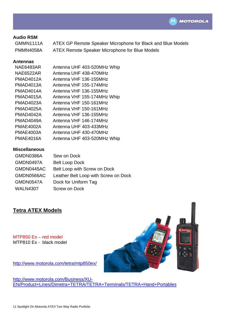

#### **Audio RSM**

GMMN1111A ATEX GP Remote Speaker Microphone for Black and Blue Models PMMN4058A ATEX Remote Speaker Microphone for Blue Models

#### **Antennas**

| <b>NAE6483AR</b> | Antenna UHF 403-520MHz Whip |
|------------------|-----------------------------|
| <b>NAE6522AR</b> | Antenna UHF 438-470MHz      |
| <b>PMAD4012A</b> | Antenna VHF 136-155MHz      |
| PMAD4013A        | Antenna VHF 155-174MHz      |
| PMAD4014A        | Antenna VHF 136-155MHz      |
| <b>PMAD4015A</b> | Antenna VHF 155-174MHz Whip |
| <b>PMAD4023A</b> | Antenna VHF 150-161MHz      |
| <b>PMAD4025A</b> | Antenna VHF 150-161MHz      |
| PMAD4042A        | Antenna VHF 136-155MHz      |
| PMAD4049A        | Antenna VHF 146-174MHz      |
| PMAE4002A        | Antenna UHF 403-433MHz      |
| <b>PMAE4003A</b> | Antenna UHF 430-470MHz      |
| PMAE4016A        | Antenna UHF 403-520MHz Whip |

#### **Miscellaneous**

| GMDN0386A       | Sew on Dock                          |
|-----------------|--------------------------------------|
| GMDN0497A       | <b>Belt Loop Dock</b>                |
| GMDN0445AC      | Belt Loop with Screw on Dock         |
| GMDN0566AC      | Leather Belt Loop with Screw on Dock |
| GMDN0547A       | Dock for Uniform Tag                 |
| <b>WALN4307</b> | <b>Screw on Dock</b>                 |

#### **Tetra ATEX Models**

MTP850 Ex – red model MTP810 Ex - black model



<http://www.motorola.com/tetra/mtp850ex/>

[http://www.motorola.com/Business/XU-](http://www.motorola.com/Business/XU-EN/Product+Lines/Dimetra+TETRA/TETRA+Terminals/TETRA+Hand+Portables)[EN/Product+Lines/Dimetra+TETRA/TETRA+Terminals/TETRA+Hand+Portables](http://www.motorola.com/Business/XU-EN/Product+Lines/Dimetra+TETRA/TETRA+Terminals/TETRA+Hand+Portables)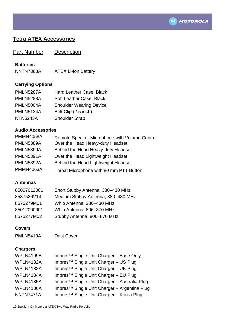

### **Tetra ATEX Accessories**

**Part Number Description** 

#### **Batteries**

NNTN7383A ATEX Li-Ion Battery

#### **Carrying Options**

| <b>PMLN5287A</b> | Hard Leather Case, Black       |
|------------------|--------------------------------|
| <b>PMLN5288A</b> | Soft Leather Case, Black       |
| <b>PMLN5004A</b> | <b>Shoulder Wearing Device</b> |
| <b>PMLN5134A</b> | Belt Clip (2.5 inch)           |
| <b>NTN5243A</b>  | <b>Shoulder Strap</b>          |

#### **Audio Accessories**

| <b>PMMN4058A</b> | Remote Speaker Microphone with Volume Control |
|------------------|-----------------------------------------------|
| <b>PMLN5389A</b> | Over the Head Heavy-duty Headset              |
| <b>PMLN5390A</b> | Behind the Head Heavy-duty Headset            |
| <b>PMLN5391A</b> | Over the Head Lightweight Headset             |
| <b>PMLN5392A</b> | Behind the Head Lightweight Headset           |
| <b>PMMN4063A</b> | Throat Microphone with 80 mm PTT Button       |

#### **Antennas**

| 85007012001 | Short Stubby Antenna, 380-430 MHz  |
|-------------|------------------------------------|
| 8587526V14  | Medium Stubby Antenna, 380-430 MHz |
| 8575279M01  | Whip Antenna, 380-430 MHz          |
| 85012000001 | Whip Antenna, 806-870 MHz          |
| 8575277M02  | Stubby Antenna, 806-870 MHz        |

#### **Covers**

PMLN5419A Dust Cover

#### **Chargers**

| WPLN4199B        | Impres <sup>™</sup> Single Unit Charger - Base Only      |
|------------------|----------------------------------------------------------|
| WPLN4182A        | Impres <sup>™</sup> Single Unit Charger - US Plug        |
| WPLN4183A        | Impres <sup>™</sup> Single Unit Charger - UK Plug        |
| WPLN4184A        | Impres <sup>™</sup> Single Unit Charger - EU Plug        |
| <b>WPLN4185A</b> | Impres <sup>™</sup> Single Unit Charger - Australia Plug |
| WPLN4186A        | Impres <sup>™</sup> Single Unit Charger - Argentina Plug |
| NNTN7471A        | Impres <sup>™</sup> Single Unit Charger - Korea Plug     |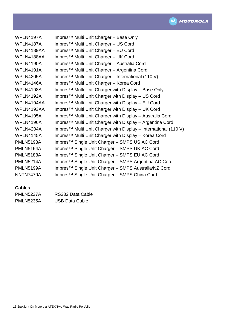

| WPLN4197A        | Impres <sup>™</sup> Multi Unit Charger – Base Only                          |
|------------------|-----------------------------------------------------------------------------|
| WPLN4187A        | Impres <sup>™</sup> Multi Unit Charger - US Cord                            |
| WPLN4189AA       | Impres <sup>™</sup> Multi Unit Charger – EU Cord                            |
| WPLN4188AA       | Impres <sup>™</sup> Multi Unit Charger - UK Cord                            |
| <b>WPLN4190A</b> | Impres <sup>™</sup> Multi Unit Charger - Australia Cord                     |
| <b>WPLN4191A</b> | Impres <sup>™</sup> Multi Unit Charger – Argentina Cord                     |
| <b>WPLN4205A</b> | Impres™ Multi Unit Charger - International (110 V)                          |
| WPLN4146A        | Impres <sup>™</sup> Multi Unit Charger - Korea Cord                         |
| <b>WPLN4198A</b> | Impres <sup>™</sup> Multi Unit Charger with Display – Base Only             |
| <b>WPLN4192A</b> | Impres <sup>™</sup> Multi Unit Charger with Display - US Cord               |
| WPLN4194AA       | Impres™ Multi Unit Charger with Display - EU Cord                           |
| WPLN4193AA       | Impres™ Multi Unit Charger with Display – UK Cord                           |
| <b>WPLN4195A</b> | Impres™ Multi Unit Charger with Display - Australia Cord                    |
| <b>WPLN4196A</b> | Impres <sup>™</sup> Multi Unit Charger with Display – Argentina Cord        |
| WPLN4204A        | Impres <sup>™</sup> Multi Unit Charger with Display - International (110 V) |
| WPLN4145A        | Impres <sup>™</sup> Multi Unit Charger with Display – Korea Cord            |
| <b>PMLN5198A</b> | Impres <sup>™</sup> Single Unit Charger – SMPS US AC Cord                   |
| PMLN5194A        | Impres™ Single Unit Charger - SMPS UK AC Cord                               |
| <b>PMLN5188A</b> | Impres <sup>™</sup> Single Unit Charger - SMPS EU AC Cord                   |
| <b>PMLN5214A</b> | Impres <sup>™</sup> Single Unit Charger – SMPS Argentina AC Cord            |
| <b>PMLN5199A</b> | Impres <sup>™</sup> Single Unit Charger - SMPS Australia/NZ Cord            |
| NNTN7470A        | Impres <sup>™</sup> Single Unit Charger – SMPS China Cord                   |

#### **Cables**

| PMLN5237A        | RS232 Data Cable      |
|------------------|-----------------------|
| <b>PMLN5235A</b> | <b>USB Data Cable</b> |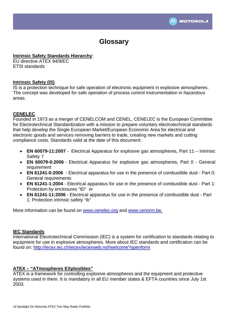

# **Glossary**

#### **Intrinsic Safety Standards Hierarchy**:

EU directive ATEX 94/9/EC ETSI standards

#### **Intrinsic Safety (IS)**

IS is a protection technique for safe operation of [electronic](http://en.wikipedia.org/wiki/Electronics) equipment in explosive atmospheres. The concept was developed for safe operation of process control instrumentation in hazardous areas.

#### **CENELEC**

Founded in 1973 as a merger of CENELCOM and CENEL, CENELEC is the European Committee for Electrotechnical Standardization with a mission to prepare voluntary electrotechnical standards that help develop the Single European Market/European Economic Area for electrical and electronic goods and services removing barriers to trade, creating new markets and cutting compliance costs. Standards valid at the date of this document:

- **EN 60079-11:2007** Electrical Apparatus for explosive gas atmospheres, Part 11 Intrinsic Safety 'i'
- **EN 60079-0:2006** Electrical Apparatus for explosive gas atmospheres, Part 0 General requirement
- **EN 61241-0:2006** Electrical apparatus for use in the presence of combustible dust Part 0: General requirements
- **EN 61241-1:2004** Electrical apparatus for use in the presence of combustible dust Part 1: Protection by enclosures "tD" or
- **EN 61241-11:2006** Electrical apparatus for use in the presence of combustible dust Part 1: Protection intrinsic safety "ib"

More information can be found on [www.cenelec.org](http://www.cenelec.org/) and [www.cenorm.be.](http://www.cenorm.be/)

#### **IEC Standards**

International Electrotechnical Commission (IEC) is a system for certification to standards relating to equipment for use in explosive atmospheres. More about IEC standards and certification can be found on:<http://iecex.iec.ch/iecex/iecexweb.nsf/welcome?openform>

#### **ATEX – "ATmospheres EXplosibles"**

ATEX is a framework for controlling explosive atmospheres and the equipment and protective systems used in them. It is mandatory in all EU member states & EFTA countries since July 1st 2003.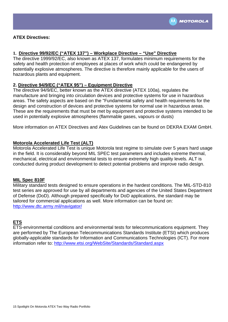

#### **1. Directive 99/92/EC ("ATEX 137") – Workplace Directive – "Use" Directive**

The directive 1999/92/EC, also known as ATEX 137, formulates minimum requirements for the safety and health protection of employees at places of work which could be endangered by potentially explosive atmospheres. The directive is therefore mainly applicable for the users of hazardous plants and equipment.

#### **2. Directive 94/9/EC ("ATEX 95") – Equipment Directive**

The directive 94/9/EC, better known as the ATEX directive (ATEX 100a), regulates the manufacture and bringing into circulation devices and protective systems for use in hazardous areas. The safety aspects are based on the "Fundamental safety and health requirements for the design and construction of devices and protective systems for normal use in hazardous areas. These are the requirements that must be met by equipment and protective systems intended to be used in potentially explosive atmospheres (flammable gases, vapours or dusts)

More information on ATEX Directives and Atex Guidelines can be found on DEKRA EXAM GmbH.

#### **Motorola Accelerated Life Test (ALT)**

Motorola Accelerated Life Test is unique Motorola test regime to simulate over 5 years hard usage in the field. It is considerably beyond MIL SPEC test parameters and includes extreme thermal, mechanical, electrical and environmental tests to ensure extremely high quality levels. ALT is conducted during product development to detect potential problems and improve radio design.

#### **MIL Spec 810F**

Military standard tests designed to ensure operations in the hardest conditions. The MIL-STD-810 test series are approved for use by all departments and agencies of the [United States Department](http://en.wikipedia.org/wiki/United_States_Department_of_Defense)  [of Defense](http://en.wikipedia.org/wiki/United_States_Department_of_Defense) (DoD). Although prepared specifically for DoD applications, the standard may be tailored for commercial applications as well. More information can be found on: <http://www.dtc.army.mil/navigator/>

#### **ETS**

ETS-environmental conditions and environmental tests for telecommunications equipment. They are performed by The European Telecommunications Standards Institute (ETSI) which produces globally-applicable standards for Information and Communications Technologies (ICT). For more information refer to:<http://www.etsi.org/WebSite/Standards/Standard.aspx>